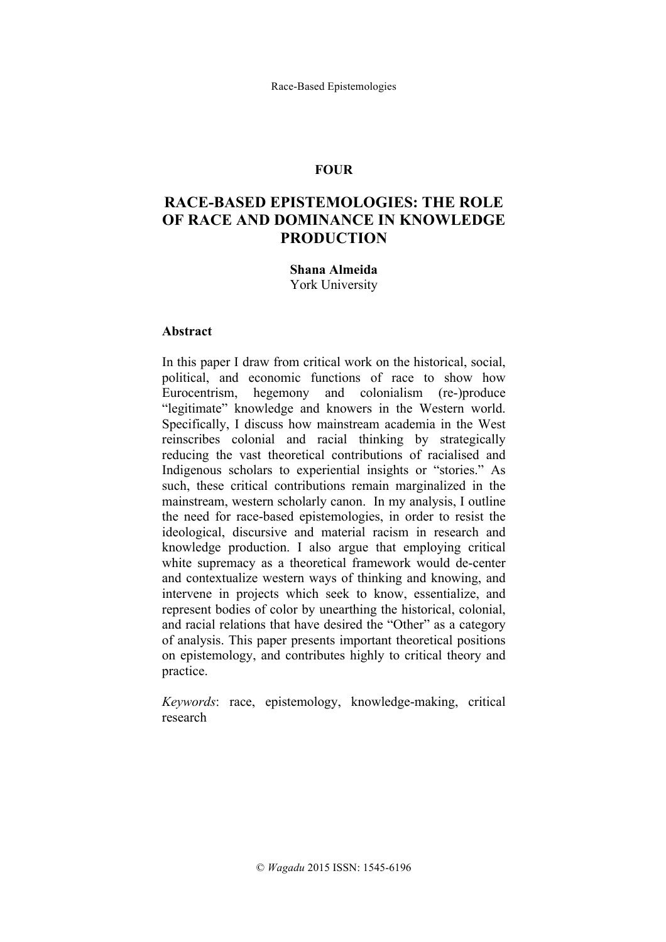# **FOUR**

# **RACE-BASED EPISTEMOLOGIES: THE ROLE OF RACE AND DOMINANCE IN KNOWLEDGE PRODUCTION**

# **Shana Almeida** York University

## **Abstract**

In this paper I draw from critical work on the historical, social, political, and economic functions of race to show how Eurocentrism, hegemony and colonialism (re-)produce "legitimate" knowledge and knowers in the Western world. Specifically, I discuss how mainstream academia in the West reinscribes colonial and racial thinking by strategically reducing the vast theoretical contributions of racialised and Indigenous scholars to experiential insights or "stories." As such, these critical contributions remain marginalized in the mainstream, western scholarly canon. In my analysis, I outline the need for race-based epistemologies, in order to resist the ideological, discursive and material racism in research and knowledge production. I also argue that employing critical white supremacy as a theoretical framework would de-center and contextualize western ways of thinking and knowing, and intervene in projects which seek to know, essentialize, and represent bodies of color by unearthing the historical, colonial, and racial relations that have desired the "Other" as a category of analysis. This paper presents important theoretical positions on epistemology, and contributes highly to critical theory and practice.

*Keywords*: race, epistemology, knowledge-making, critical research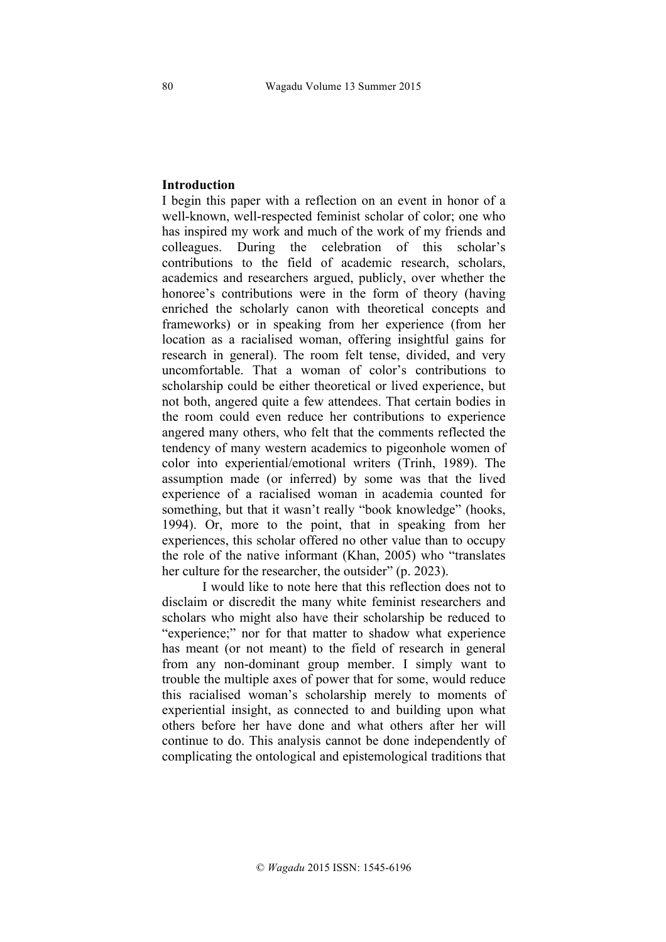# **Introduction**

I begin this paper with a reflection on an event in honor of a well-known, well-respected feminist scholar of color; one who has inspired my work and much of the work of my friends and colleagues. During the celebration of this scholar's contributions to the field of academic research, scholars, academics and researchers argued, publicly, over whether the honoree's contributions were in the form of theory (having enriched the scholarly canon with theoretical concepts and frameworks) or in speaking from her experience (from her location as a racialised woman, offering insightful gains for research in general). The room felt tense, divided, and very uncomfortable. That a woman of color's contributions to scholarship could be either theoretical or lived experience, but not both, angered quite a few attendees. That certain bodies in the room could even reduce her contributions to experience angered many others, who felt that the comments reflected the tendency of many western academics to pigeonhole women of color into experiential/emotional writers (Trinh, 1989). The assumption made (or inferred) by some was that the lived experience of a racialised woman in academia counted for something, but that it wasn't really "book knowledge" (hooks, 1994). Or, more to the point, that in speaking from her experiences, this scholar offered no other value than to occupy the role of the native informant (Khan, 2005) who "translates her culture for the researcher, the outsider" (p. 2023).

I would like to note here that this reflection does not to disclaim or discredit the many white feminist researchers and scholars who might also have their scholarship be reduced to "experience;" nor for that matter to shadow what experience has meant (or not meant) to the field of research in general from any non-dominant group member. I simply want to trouble the multiple axes of power that for some, would reduce this racialised woman's scholarship merely to moments of experiential insight, as connected to and building upon what others before her have done and what others after her will continue to do. This analysis cannot be done independently of complicating the ontological and epistemological traditions that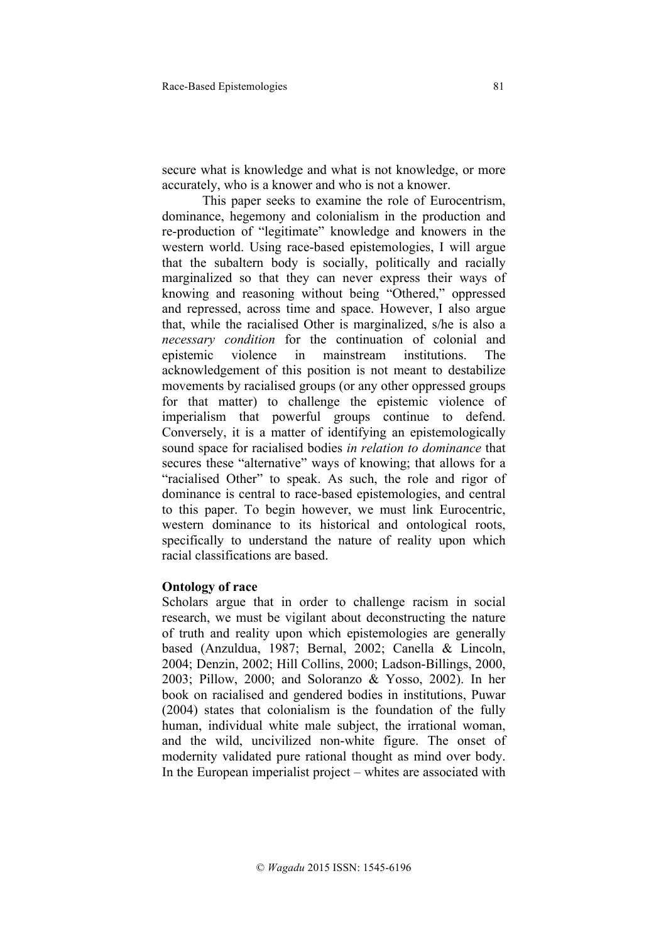secure what is knowledge and what is not knowledge, or more accurately, who is a knower and who is not a knower.

This paper seeks to examine the role of Eurocentrism, dominance, hegemony and colonialism in the production and re-production of "legitimate" knowledge and knowers in the western world. Using race-based epistemologies, I will argue that the subaltern body is socially, politically and racially marginalized so that they can never express their ways of knowing and reasoning without being "Othered," oppressed and repressed, across time and space. However, I also argue that, while the racialised Other is marginalized, s/he is also a *necessary condition* for the continuation of colonial and epistemic violence in mainstream institutions. The acknowledgement of this position is not meant to destabilize movements by racialised groups (or any other oppressed groups for that matter) to challenge the epistemic violence of imperialism that powerful groups continue to defend. Conversely, it is a matter of identifying an epistemologically sound space for racialised bodies *in relation to dominance* that secures these "alternative" ways of knowing; that allows for a "racialised Other" to speak. As such, the role and rigor of dominance is central to race-based epistemologies, and central to this paper. To begin however, we must link Eurocentric, western dominance to its historical and ontological roots, specifically to understand the nature of reality upon which racial classifications are based.

## **Ontology of race**

Scholars argue that in order to challenge racism in social research, we must be vigilant about deconstructing the nature of truth and reality upon which epistemologies are generally based (Anzuldua, 1987; Bernal, 2002; Canella & Lincoln, 2004; Denzin, 2002; Hill Collins, 2000; Ladson-Billings, 2000, 2003; Pillow, 2000; and Soloranzo & Yosso, 2002). In her book on racialised and gendered bodies in institutions, Puwar (2004) states that colonialism is the foundation of the fully human, individual white male subject, the irrational woman, and the wild, uncivilized non-white figure. The onset of modernity validated pure rational thought as mind over body. In the European imperialist project – whites are associated with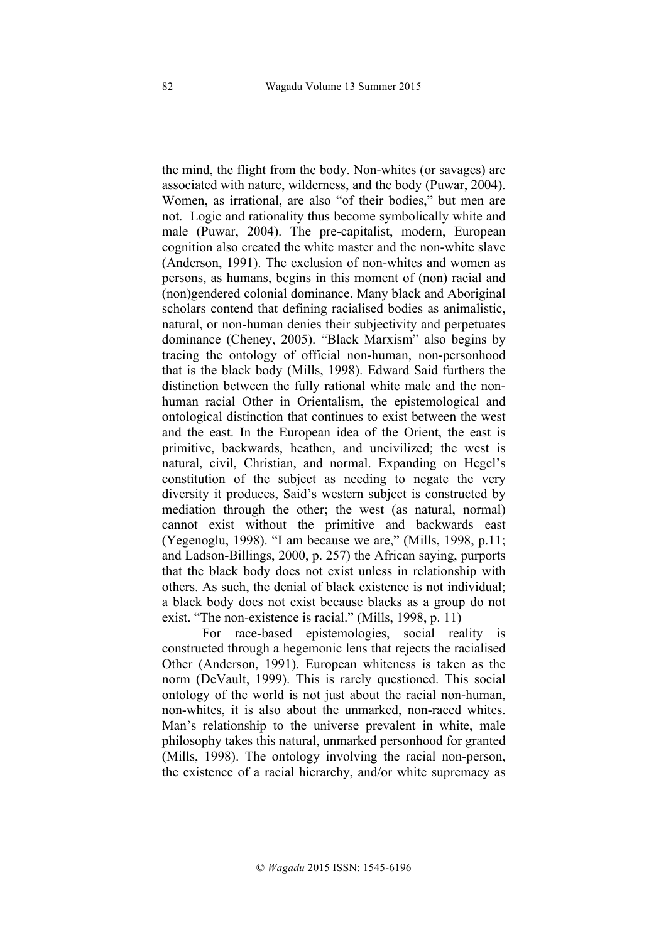the mind, the flight from the body. Non-whites (or savages) are associated with nature, wilderness, and the body (Puwar, 2004). Women, as irrational, are also "of their bodies," but men are not. Logic and rationality thus become symbolically white and male (Puwar, 2004). The pre-capitalist, modern, European cognition also created the white master and the non-white slave (Anderson, 1991). The exclusion of non-whites and women as persons, as humans, begins in this moment of (non) racial and (non)gendered colonial dominance. Many black and Aboriginal scholars contend that defining racialised bodies as animalistic, natural, or non-human denies their subjectivity and perpetuates dominance (Cheney, 2005). "Black Marxism" also begins by tracing the ontology of official non-human, non-personhood that is the black body (Mills, 1998). Edward Said furthers the distinction between the fully rational white male and the nonhuman racial Other in Orientalism, the epistemological and ontological distinction that continues to exist between the west and the east. In the European idea of the Orient, the east is primitive, backwards, heathen, and uncivilized; the west is natural, civil, Christian, and normal. Expanding on Hegel's constitution of the subject as needing to negate the very diversity it produces, Said's western subject is constructed by mediation through the other; the west (as natural, normal) cannot exist without the primitive and backwards east (Yegenoglu, 1998). "I am because we are," (Mills, 1998, p.11; and Ladson-Billings, 2000, p. 257) the African saying, purports that the black body does not exist unless in relationship with others. As such, the denial of black existence is not individual; a black body does not exist because blacks as a group do not exist. "The non-existence is racial." (Mills, 1998, p. 11)

For race-based epistemologies, social reality is constructed through a hegemonic lens that rejects the racialised Other (Anderson, 1991). European whiteness is taken as the norm (DeVault, 1999). This is rarely questioned. This social ontology of the world is not just about the racial non-human, non-whites, it is also about the unmarked, non-raced whites. Man's relationship to the universe prevalent in white, male philosophy takes this natural, unmarked personhood for granted (Mills, 1998). The ontology involving the racial non-person, the existence of a racial hierarchy, and/or white supremacy as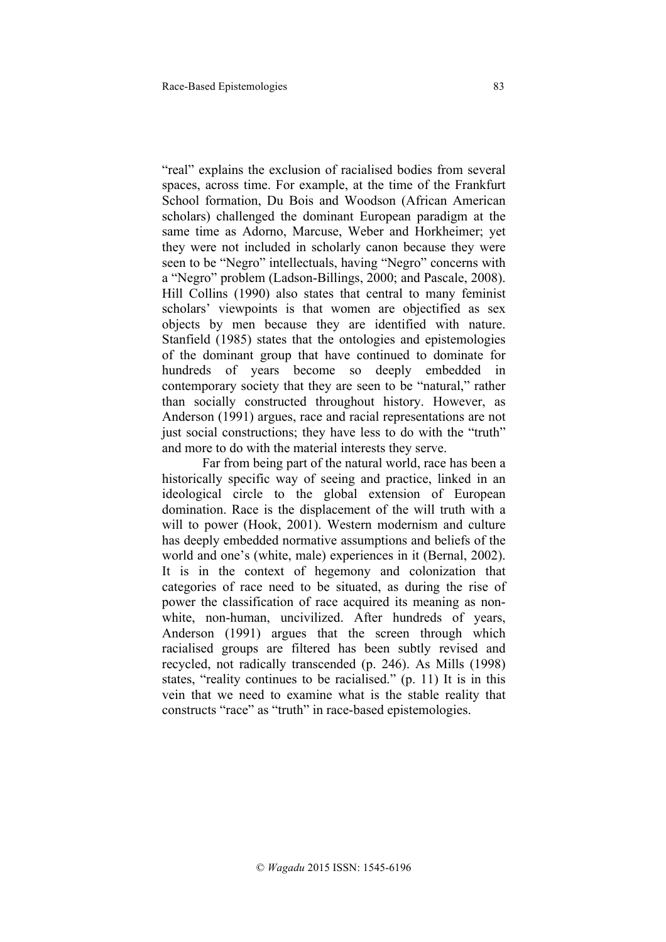"real" explains the exclusion of racialised bodies from several spaces, across time. For example, at the time of the Frankfurt School formation, Du Bois and Woodson (African American scholars) challenged the dominant European paradigm at the same time as Adorno, Marcuse, Weber and Horkheimer; yet they were not included in scholarly canon because they were seen to be "Negro" intellectuals, having "Negro" concerns with a "Negro" problem (Ladson-Billings, 2000; and Pascale, 2008). Hill Collins (1990) also states that central to many feminist scholars' viewpoints is that women are objectified as sex objects by men because they are identified with nature. Stanfield (1985) states that the ontologies and epistemologies of the dominant group that have continued to dominate for hundreds of years become so deeply embedded in contemporary society that they are seen to be "natural," rather than socially constructed throughout history. However, as Anderson (1991) argues, race and racial representations are not just social constructions; they have less to do with the "truth" and more to do with the material interests they serve.

Far from being part of the natural world, race has been a historically specific way of seeing and practice, linked in an ideological circle to the global extension of European domination. Race is the displacement of the will truth with a will to power (Hook, 2001). Western modernism and culture has deeply embedded normative assumptions and beliefs of the world and one's (white, male) experiences in it (Bernal, 2002). It is in the context of hegemony and colonization that categories of race need to be situated, as during the rise of power the classification of race acquired its meaning as nonwhite, non-human, uncivilized. After hundreds of years, Anderson (1991) argues that the screen through which racialised groups are filtered has been subtly revised and recycled, not radically transcended (p. 246). As Mills (1998) states, "reality continues to be racialised." (p. 11) It is in this vein that we need to examine what is the stable reality that constructs "race" as "truth" in race-based epistemologies.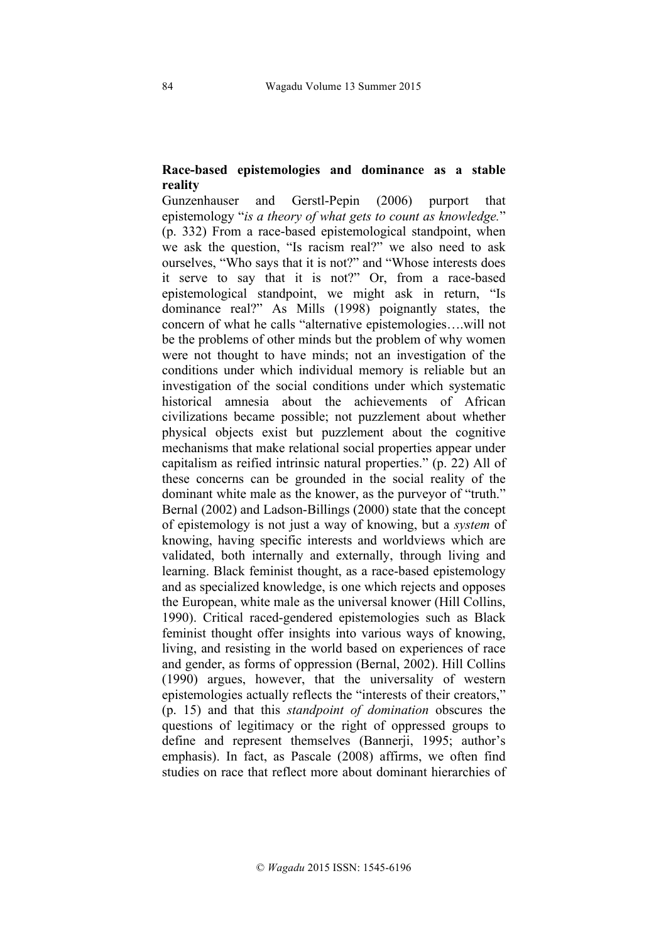# **Race-based epistemologies and dominance as a stable reality**

Gunzenhauser and Gerstl-Pepin (2006) purport that epistemology "*is a theory of what gets to count as knowledge.*" (p. 332) From a race-based epistemological standpoint, when we ask the question, "Is racism real?" we also need to ask ourselves, "Who says that it is not?" and "Whose interests does it serve to say that it is not?" Or, from a race-based epistemological standpoint, we might ask in return, "Is dominance real?" As Mills (1998) poignantly states, the concern of what he calls "alternative epistemologies….will not be the problems of other minds but the problem of why women were not thought to have minds; not an investigation of the conditions under which individual memory is reliable but an investigation of the social conditions under which systematic historical amnesia about the achievements of African civilizations became possible; not puzzlement about whether physical objects exist but puzzlement about the cognitive mechanisms that make relational social properties appear under capitalism as reified intrinsic natural properties." (p. 22) All of these concerns can be grounded in the social reality of the dominant white male as the knower, as the purveyor of "truth." Bernal (2002) and Ladson-Billings (2000) state that the concept of epistemology is not just a way of knowing, but a *system* of knowing, having specific interests and worldviews which are validated, both internally and externally, through living and learning. Black feminist thought, as a race-based epistemology and as specialized knowledge, is one which rejects and opposes the European, white male as the universal knower (Hill Collins, 1990). Critical raced-gendered epistemologies such as Black feminist thought offer insights into various ways of knowing, living, and resisting in the world based on experiences of race and gender, as forms of oppression (Bernal, 2002). Hill Collins (1990) argues, however, that the universality of western epistemologies actually reflects the "interests of their creators," (p. 15) and that this *standpoint of domination* obscures the questions of legitimacy or the right of oppressed groups to define and represent themselves (Bannerji, 1995; author's emphasis). In fact, as Pascale (2008) affirms, we often find studies on race that reflect more about dominant hierarchies of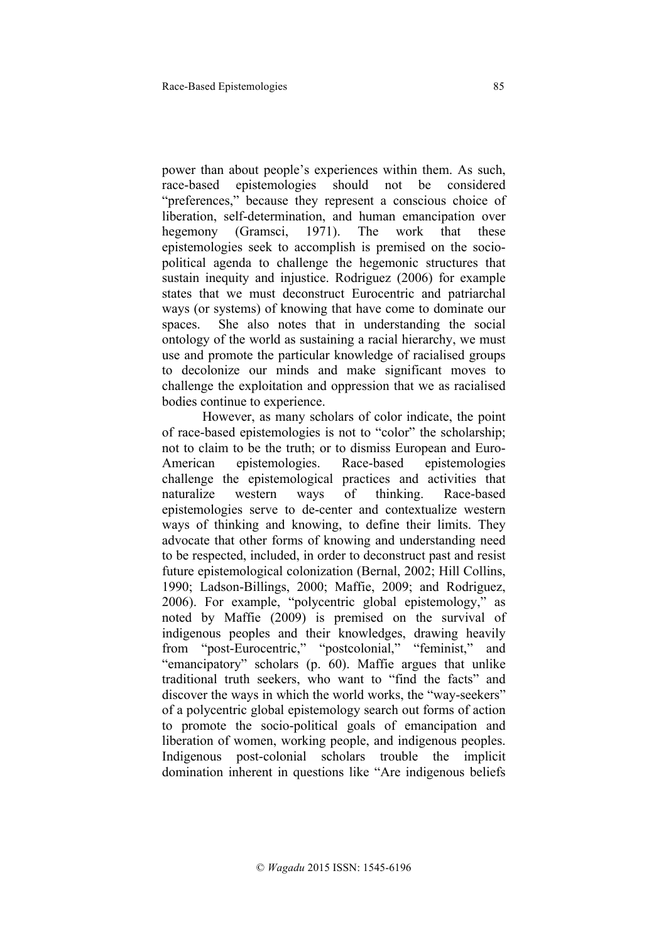power than about people's experiences within them. As such, race-based epistemologies should not be considered "preferences," because they represent a conscious choice of liberation, self-determination, and human emancipation over hegemony (Gramsci, 1971). The work that these epistemologies seek to accomplish is premised on the sociopolitical agenda to challenge the hegemonic structures that sustain inequity and injustice. Rodriguez (2006) for example states that we must deconstruct Eurocentric and patriarchal ways (or systems) of knowing that have come to dominate our spaces. She also notes that in understanding the social ontology of the world as sustaining a racial hierarchy, we must use and promote the particular knowledge of racialised groups to decolonize our minds and make significant moves to challenge the exploitation and oppression that we as racialised bodies continue to experience.

However, as many scholars of color indicate, the point of race-based epistemologies is not to "color" the scholarship; not to claim to be the truth; or to dismiss European and Euro-American epistemologies. Race-based epistemologies challenge the epistemological practices and activities that naturalize western ways of thinking. Race-based epistemologies serve to de-center and contextualize western ways of thinking and knowing, to define their limits. They advocate that other forms of knowing and understanding need to be respected, included, in order to deconstruct past and resist future epistemological colonization (Bernal, 2002; Hill Collins, 1990; Ladson-Billings, 2000; Maffie, 2009; and Rodriguez, 2006). For example, "polycentric global epistemology," as noted by Maffie (2009) is premised on the survival of indigenous peoples and their knowledges, drawing heavily from "post-Eurocentric," "postcolonial," "feminist," and "emancipatory" scholars (p. 60). Maffie argues that unlike traditional truth seekers, who want to "find the facts" and discover the ways in which the world works, the "way-seekers" of a polycentric global epistemology search out forms of action to promote the socio-political goals of emancipation and liberation of women, working people, and indigenous peoples. Indigenous post-colonial scholars trouble the implicit domination inherent in questions like "Are indigenous beliefs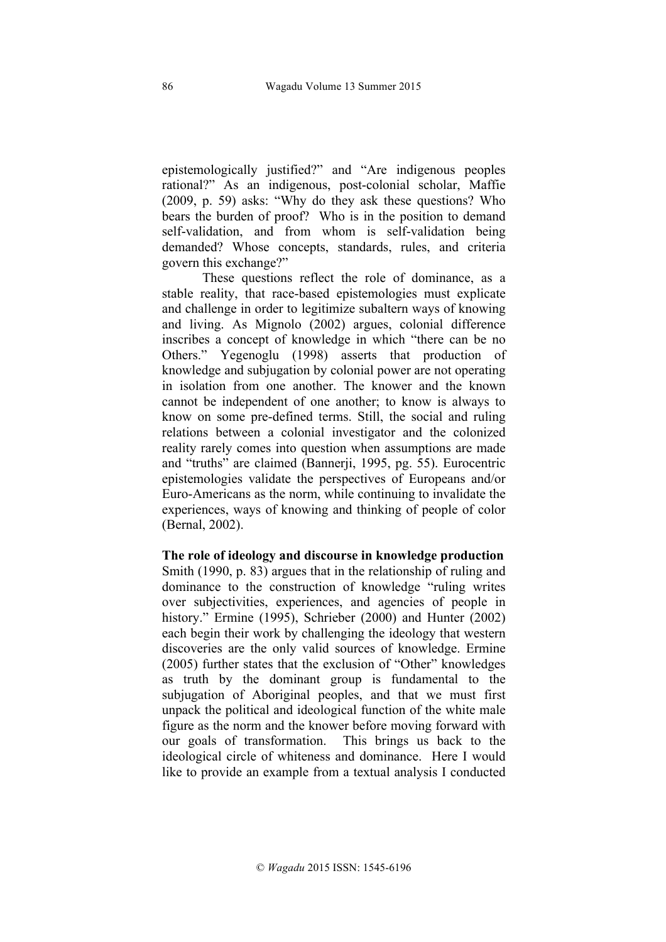epistemologically justified?" and "Are indigenous peoples rational?" As an indigenous, post-colonial scholar, Maffie (2009, p. 59) asks: "Why do they ask these questions? Who bears the burden of proof? Who is in the position to demand self-validation, and from whom is self-validation being demanded? Whose concepts, standards, rules, and criteria govern this exchange?"

These questions reflect the role of dominance, as a stable reality, that race-based epistemologies must explicate and challenge in order to legitimize subaltern ways of knowing and living. As Mignolo (2002) argues, colonial difference inscribes a concept of knowledge in which "there can be no Others." Yegenoglu (1998) asserts that production of knowledge and subjugation by colonial power are not operating in isolation from one another. The knower and the known cannot be independent of one another; to know is always to know on some pre-defined terms. Still, the social and ruling relations between a colonial investigator and the colonized reality rarely comes into question when assumptions are made and "truths" are claimed (Bannerji, 1995, pg. 55). Eurocentric epistemologies validate the perspectives of Europeans and/or Euro-Americans as the norm, while continuing to invalidate the experiences, ways of knowing and thinking of people of color (Bernal, 2002).

**The role of ideology and discourse in knowledge production** Smith (1990, p. 83) argues that in the relationship of ruling and dominance to the construction of knowledge "ruling writes over subjectivities, experiences, and agencies of people in history." Ermine (1995), Schrieber (2000) and Hunter (2002) each begin their work by challenging the ideology that western discoveries are the only valid sources of knowledge. Ermine (2005) further states that the exclusion of "Other" knowledges as truth by the dominant group is fundamental to the subjugation of Aboriginal peoples, and that we must first unpack the political and ideological function of the white male figure as the norm and the knower before moving forward with our goals of transformation. This brings us back to the ideological circle of whiteness and dominance. Here I would like to provide an example from a textual analysis I conducted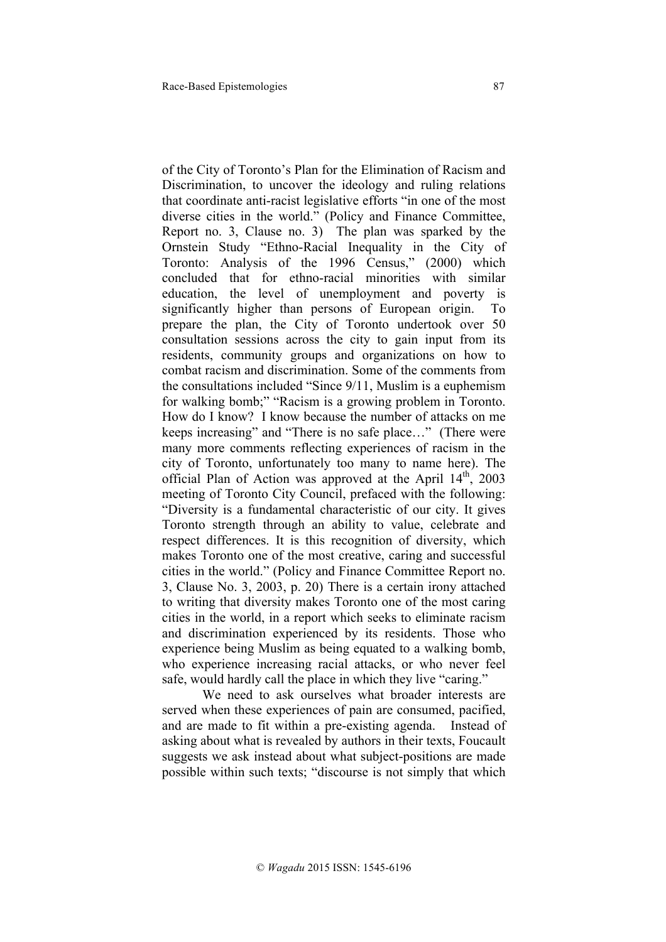of the City of Toronto's Plan for the Elimination of Racism and Discrimination, to uncover the ideology and ruling relations that coordinate anti-racist legislative efforts "in one of the most diverse cities in the world." (Policy and Finance Committee, Report no. 3, Clause no. 3) The plan was sparked by the Ornstein Study "Ethno-Racial Inequality in the City of Toronto: Analysis of the 1996 Census," (2000) which concluded that for ethno-racial minorities with similar education, the level of unemployment and poverty is significantly higher than persons of European origin. To prepare the plan, the City of Toronto undertook over 50 consultation sessions across the city to gain input from its residents, community groups and organizations on how to combat racism and discrimination. Some of the comments from the consultations included "Since 9/11, Muslim is a euphemism for walking bomb;" "Racism is a growing problem in Toronto. How do I know? I know because the number of attacks on me keeps increasing" and "There is no safe place…" (There were many more comments reflecting experiences of racism in the city of Toronto, unfortunately too many to name here). The official Plan of Action was approved at the April  $14<sup>th</sup>$ , 2003 meeting of Toronto City Council, prefaced with the following: "Diversity is a fundamental characteristic of our city. It gives Toronto strength through an ability to value, celebrate and respect differences. It is this recognition of diversity, which makes Toronto one of the most creative, caring and successful

cities in the world." (Policy and Finance Committee Report no. 3, Clause No. 3, 2003, p. 20) There is a certain irony attached to writing that diversity makes Toronto one of the most caring cities in the world, in a report which seeks to eliminate racism and discrimination experienced by its residents. Those who experience being Muslim as being equated to a walking bomb, who experience increasing racial attacks, or who never feel safe, would hardly call the place in which they live "caring."

We need to ask ourselves what broader interests are served when these experiences of pain are consumed, pacified, and are made to fit within a pre-existing agenda. Instead of asking about what is revealed by authors in their texts, Foucault suggests we ask instead about what subject-positions are made possible within such texts; "discourse is not simply that which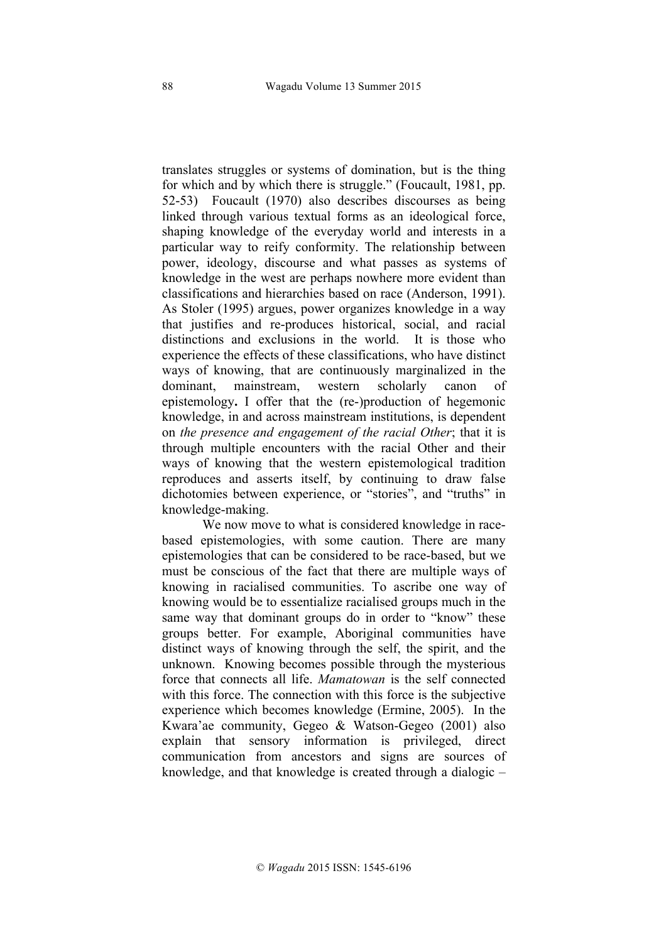translates struggles or systems of domination, but is the thing for which and by which there is struggle." (Foucault, 1981, pp. 52-53) Foucault (1970) also describes discourses as being linked through various textual forms as an ideological force, shaping knowledge of the everyday world and interests in a particular way to reify conformity. The relationship between power, ideology, discourse and what passes as systems of knowledge in the west are perhaps nowhere more evident than classifications and hierarchies based on race (Anderson, 1991). As Stoler (1995) argues, power organizes knowledge in a way that justifies and re-produces historical, social, and racial distinctions and exclusions in the world. It is those who experience the effects of these classifications, who have distinct ways of knowing, that are continuously marginalized in the dominant, mainstream, western scholarly canon of epistemology**.** I offer that the (re-)production of hegemonic knowledge, in and across mainstream institutions, is dependent on *the presence and engagement of the racial Other*; that it is through multiple encounters with the racial Other and their ways of knowing that the western epistemological tradition reproduces and asserts itself, by continuing to draw false dichotomies between experience, or "stories", and "truths" in knowledge-making.

We now move to what is considered knowledge in racebased epistemologies, with some caution. There are many epistemologies that can be considered to be race-based, but we must be conscious of the fact that there are multiple ways of knowing in racialised communities. To ascribe one way of knowing would be to essentialize racialised groups much in the same way that dominant groups do in order to "know" these groups better. For example, Aboriginal communities have distinct ways of knowing through the self, the spirit, and the unknown. Knowing becomes possible through the mysterious force that connects all life. *Mamatowan* is the self connected with this force. The connection with this force is the subjective experience which becomes knowledge (Ermine, 2005). In the Kwara'ae community, Gegeo & Watson-Gegeo (2001) also explain that sensory information is privileged, direct communication from ancestors and signs are sources of knowledge, and that knowledge is created through a dialogic –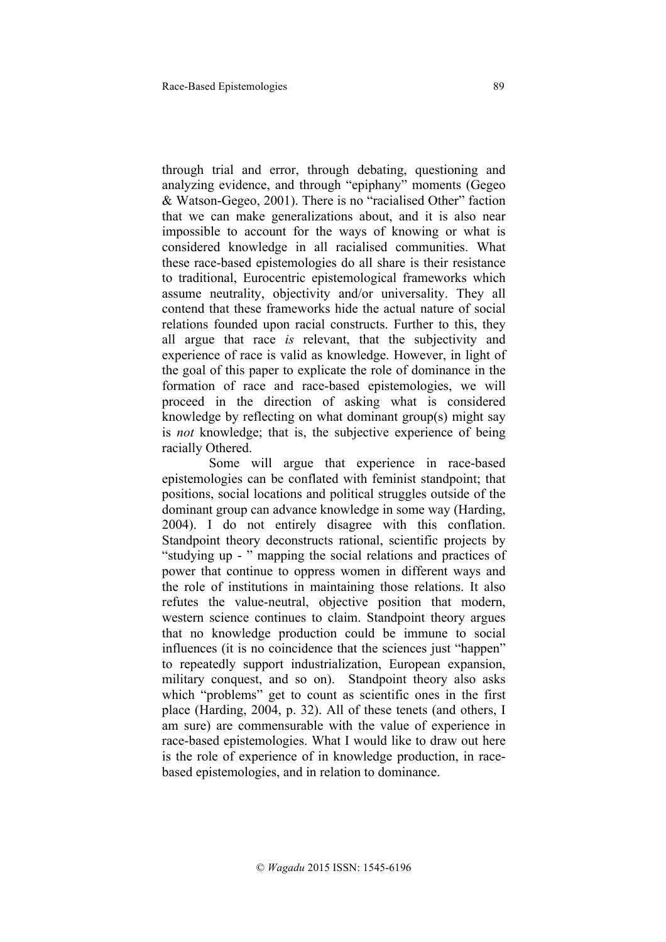through trial and error, through debating, questioning and analyzing evidence, and through "epiphany" moments (Gegeo & Watson-Gegeo, 2001). There is no "racialised Other" faction that we can make generalizations about, and it is also near impossible to account for the ways of knowing or what is considered knowledge in all racialised communities. What these race-based epistemologies do all share is their resistance to traditional, Eurocentric epistemological frameworks which assume neutrality, objectivity and/or universality. They all contend that these frameworks hide the actual nature of social relations founded upon racial constructs. Further to this, they all argue that race *is* relevant, that the subjectivity and experience of race is valid as knowledge. However, in light of the goal of this paper to explicate the role of dominance in the formation of race and race-based epistemologies, we will proceed in the direction of asking what is considered knowledge by reflecting on what dominant group(s) might say is *not* knowledge; that is, the subjective experience of being racially Othered.

 Some will argue that experience in race-based epistemologies can be conflated with feminist standpoint; that positions, social locations and political struggles outside of the dominant group can advance knowledge in some way (Harding, 2004). I do not entirely disagree with this conflation. Standpoint theory deconstructs rational, scientific projects by "studying up - " mapping the social relations and practices of power that continue to oppress women in different ways and the role of institutions in maintaining those relations. It also refutes the value-neutral, objective position that modern, western science continues to claim. Standpoint theory argues that no knowledge production could be immune to social influences (it is no coincidence that the sciences just "happen" to repeatedly support industrialization, European expansion, military conquest, and so on). Standpoint theory also asks which "problems" get to count as scientific ones in the first place (Harding, 2004, p. 32). All of these tenets (and others, I am sure) are commensurable with the value of experience in race-based epistemologies. What I would like to draw out here is the role of experience of in knowledge production, in racebased epistemologies, and in relation to dominance.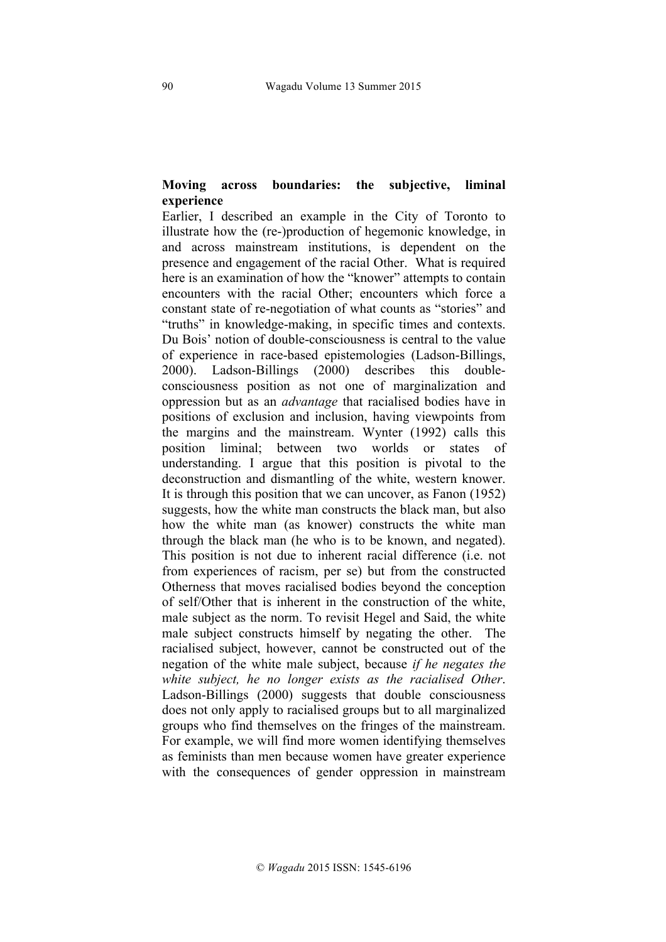# **Moving across boundaries: the subjective, liminal experience**

Earlier, I described an example in the City of Toronto to illustrate how the (re-)production of hegemonic knowledge, in and across mainstream institutions, is dependent on the presence and engagement of the racial Other. What is required here is an examination of how the "knower" attempts to contain encounters with the racial Other; encounters which force a constant state of re-negotiation of what counts as "stories" and "truths" in knowledge-making, in specific times and contexts. Du Bois' notion of double-consciousness is central to the value of experience in race-based epistemologies (Ladson-Billings, 2000). Ladson-Billings (2000) describes this doubleconsciousness position as not one of marginalization and oppression but as an *advantage* that racialised bodies have in positions of exclusion and inclusion, having viewpoints from the margins and the mainstream. Wynter (1992) calls this position liminal; between two worlds or states of understanding. I argue that this position is pivotal to the deconstruction and dismantling of the white, western knower. It is through this position that we can uncover, as Fanon (1952) suggests, how the white man constructs the black man, but also how the white man (as knower) constructs the white man through the black man (he who is to be known, and negated). This position is not due to inherent racial difference (i.e. not from experiences of racism, per se) but from the constructed Otherness that moves racialised bodies beyond the conception of self/Other that is inherent in the construction of the white, male subject as the norm. To revisit Hegel and Said, the white male subject constructs himself by negating the other. The racialised subject, however, cannot be constructed out of the negation of the white male subject, because *if he negates the white subject, he no longer exists as the racialised Other*. Ladson-Billings (2000) suggests that double consciousness does not only apply to racialised groups but to all marginalized groups who find themselves on the fringes of the mainstream. For example, we will find more women identifying themselves as feminists than men because women have greater experience with the consequences of gender oppression in mainstream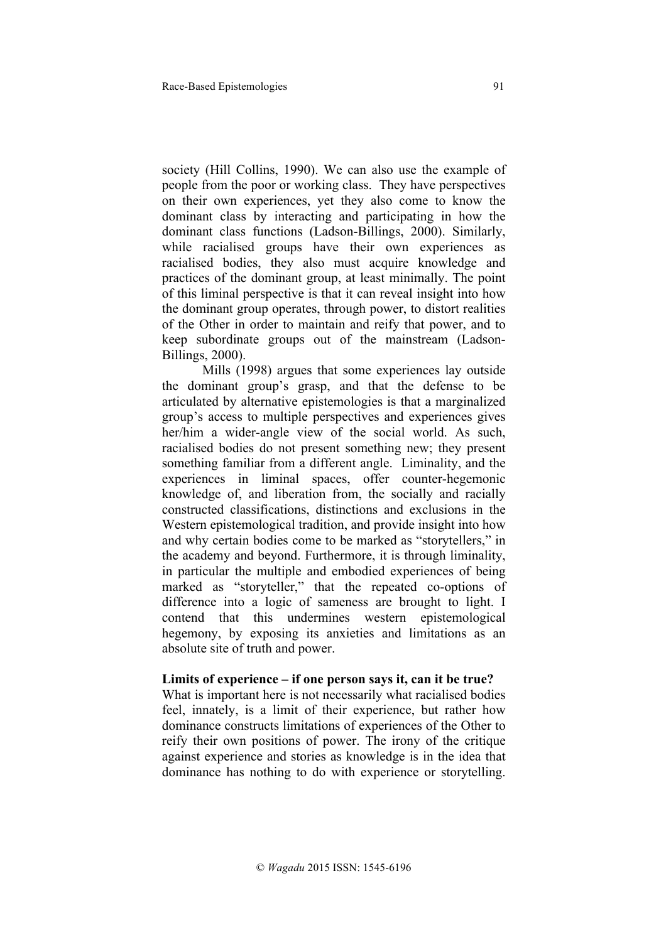society (Hill Collins, 1990). We can also use the example of people from the poor or working class. They have perspectives on their own experiences, yet they also come to know the dominant class by interacting and participating in how the dominant class functions (Ladson-Billings, 2000). Similarly, while racialised groups have their own experiences as racialised bodies, they also must acquire knowledge and practices of the dominant group, at least minimally. The point of this liminal perspective is that it can reveal insight into how the dominant group operates, through power, to distort realities of the Other in order to maintain and reify that power, and to keep subordinate groups out of the mainstream (Ladson-Billings, 2000).

Mills (1998) argues that some experiences lay outside the dominant group's grasp, and that the defense to be articulated by alternative epistemologies is that a marginalized group's access to multiple perspectives and experiences gives her/him a wider-angle view of the social world. As such, racialised bodies do not present something new; they present something familiar from a different angle. Liminality, and the experiences in liminal spaces, offer counter-hegemonic knowledge of, and liberation from, the socially and racially constructed classifications, distinctions and exclusions in the Western epistemological tradition, and provide insight into how and why certain bodies come to be marked as "storytellers," in the academy and beyond. Furthermore, it is through liminality, in particular the multiple and embodied experiences of being marked as "storyteller," that the repeated co-options of difference into a logic of sameness are brought to light. I contend that this undermines western epistemological hegemony, by exposing its anxieties and limitations as an absolute site of truth and power.

## **Limits of experience – if one person says it, can it be true?**

What is important here is not necessarily what racialised bodies feel, innately, is a limit of their experience, but rather how dominance constructs limitations of experiences of the Other to reify their own positions of power. The irony of the critique against experience and stories as knowledge is in the idea that dominance has nothing to do with experience or storytelling.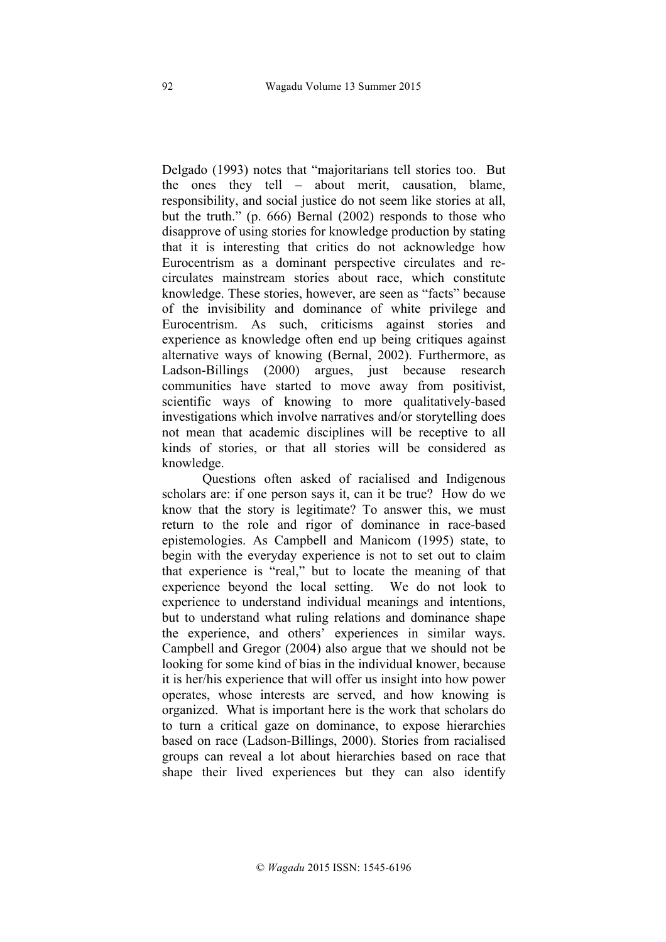Delgado (1993) notes that "majoritarians tell stories too. But the ones they tell – about merit, causation, blame, responsibility, and social justice do not seem like stories at all, but the truth." (p. 666) Bernal (2002) responds to those who disapprove of using stories for knowledge production by stating that it is interesting that critics do not acknowledge how Eurocentrism as a dominant perspective circulates and recirculates mainstream stories about race, which constitute knowledge. These stories, however, are seen as "facts" because of the invisibility and dominance of white privilege and Eurocentrism. As such, criticisms against stories and experience as knowledge often end up being critiques against alternative ways of knowing (Bernal, 2002). Furthermore, as Ladson-Billings (2000) argues, just because research communities have started to move away from positivist, scientific ways of knowing to more qualitatively-based investigations which involve narratives and/or storytelling does not mean that academic disciplines will be receptive to all kinds of stories, or that all stories will be considered as knowledge.

Questions often asked of racialised and Indigenous scholars are: if one person says it, can it be true? How do we know that the story is legitimate? To answer this, we must return to the role and rigor of dominance in race-based epistemologies. As Campbell and Manicom (1995) state, to begin with the everyday experience is not to set out to claim that experience is "real," but to locate the meaning of that experience beyond the local setting. We do not look to experience to understand individual meanings and intentions, but to understand what ruling relations and dominance shape the experience, and others' experiences in similar ways. Campbell and Gregor (2004) also argue that we should not be looking for some kind of bias in the individual knower, because it is her/his experience that will offer us insight into how power operates, whose interests are served, and how knowing is organized. What is important here is the work that scholars do to turn a critical gaze on dominance, to expose hierarchies based on race (Ladson-Billings, 2000). Stories from racialised groups can reveal a lot about hierarchies based on race that shape their lived experiences but they can also identify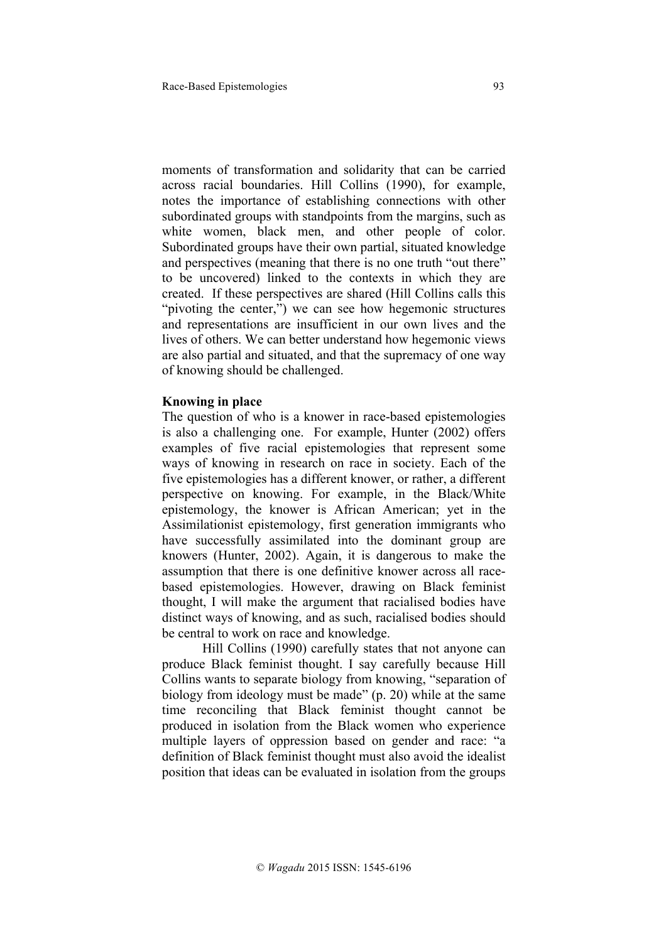moments of transformation and solidarity that can be carried across racial boundaries. Hill Collins (1990), for example, notes the importance of establishing connections with other subordinated groups with standpoints from the margins, such as white women, black men, and other people of color. Subordinated groups have their own partial, situated knowledge and perspectives (meaning that there is no one truth "out there" to be uncovered) linked to the contexts in which they are created. If these perspectives are shared (Hill Collins calls this "pivoting the center,") we can see how hegemonic structures and representations are insufficient in our own lives and the lives of others. We can better understand how hegemonic views are also partial and situated, and that the supremacy of one way of knowing should be challenged.

#### **Knowing in place**

The question of who is a knower in race-based epistemologies is also a challenging one. For example, Hunter (2002) offers examples of five racial epistemologies that represent some ways of knowing in research on race in society. Each of the five epistemologies has a different knower, or rather, a different perspective on knowing. For example, in the Black/White epistemology, the knower is African American; yet in the Assimilationist epistemology, first generation immigrants who have successfully assimilated into the dominant group are knowers (Hunter, 2002). Again, it is dangerous to make the assumption that there is one definitive knower across all racebased epistemologies. However, drawing on Black feminist thought, I will make the argument that racialised bodies have distinct ways of knowing, and as such, racialised bodies should be central to work on race and knowledge.

Hill Collins (1990) carefully states that not anyone can produce Black feminist thought. I say carefully because Hill Collins wants to separate biology from knowing, "separation of biology from ideology must be made" (p. 20) while at the same time reconciling that Black feminist thought cannot be produced in isolation from the Black women who experience multiple layers of oppression based on gender and race: "a definition of Black feminist thought must also avoid the idealist position that ideas can be evaluated in isolation from the groups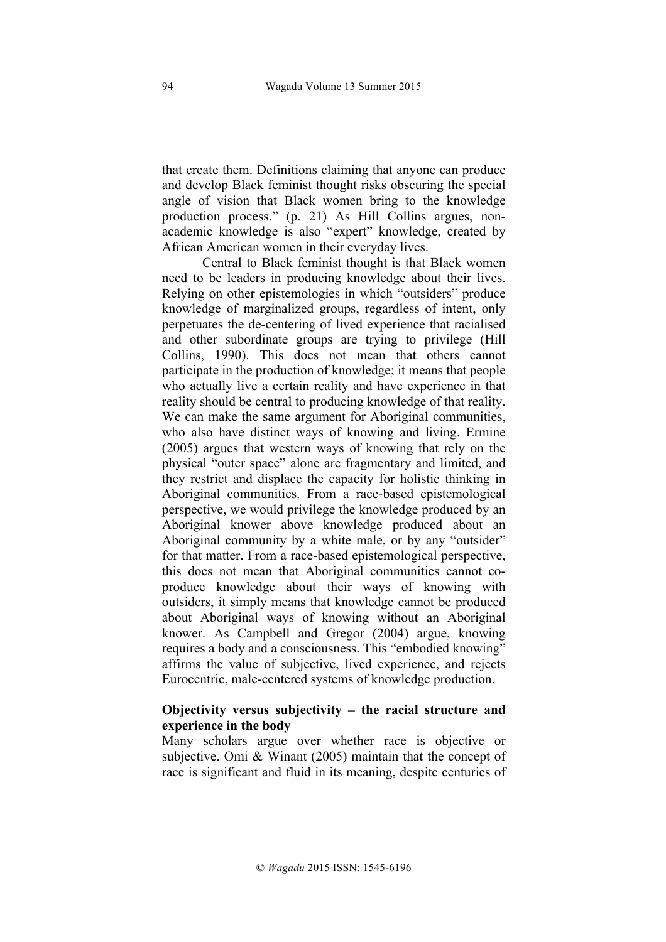that create them. Definitions claiming that anyone can produce and develop Black feminist thought risks obscuring the special angle of vision that Black women bring to the knowledge production process." (p. 21) As Hill Collins argues, nonacademic knowledge is also "expert" knowledge, created by African American women in their everyday lives.

Central to Black feminist thought is that Black women need to be leaders in producing knowledge about their lives. Relying on other epistemologies in which "outsiders" produce knowledge of marginalized groups, regardless of intent, only perpetuates the de-centering of lived experience that racialised and other subordinate groups are trying to privilege (Hill Collins, 1990). This does not mean that others cannot participate in the production of knowledge; it means that people who actually live a certain reality and have experience in that reality should be central to producing knowledge of that reality. We can make the same argument for Aboriginal communities, who also have distinct ways of knowing and living. Ermine (2005) argues that western ways of knowing that rely on the physical "outer space" alone are fragmentary and limited, and they restrict and displace the capacity for holistic thinking in Aboriginal communities. From a race-based epistemological perspective, we would privilege the knowledge produced by an Aboriginal knower above knowledge produced about an Aboriginal community by a white male, or by any "outsider" for that matter. From a race-based epistemological perspective, this does not mean that Aboriginal communities cannot coproduce knowledge about their ways of knowing with outsiders, it simply means that knowledge cannot be produced about Aboriginal ways of knowing without an Aboriginal knower. As Campbell and Gregor (2004) argue, knowing requires a body and a consciousness. This "embodied knowing" affirms the value of subjective, lived experience, and rejects Eurocentric, male-centered systems of knowledge production.

# **Objectivity versus subjectivity – the racial structure and experience in the body**

Many scholars argue over whether race is objective or subjective. Omi & Winant (2005) maintain that the concept of race is significant and fluid in its meaning, despite centuries of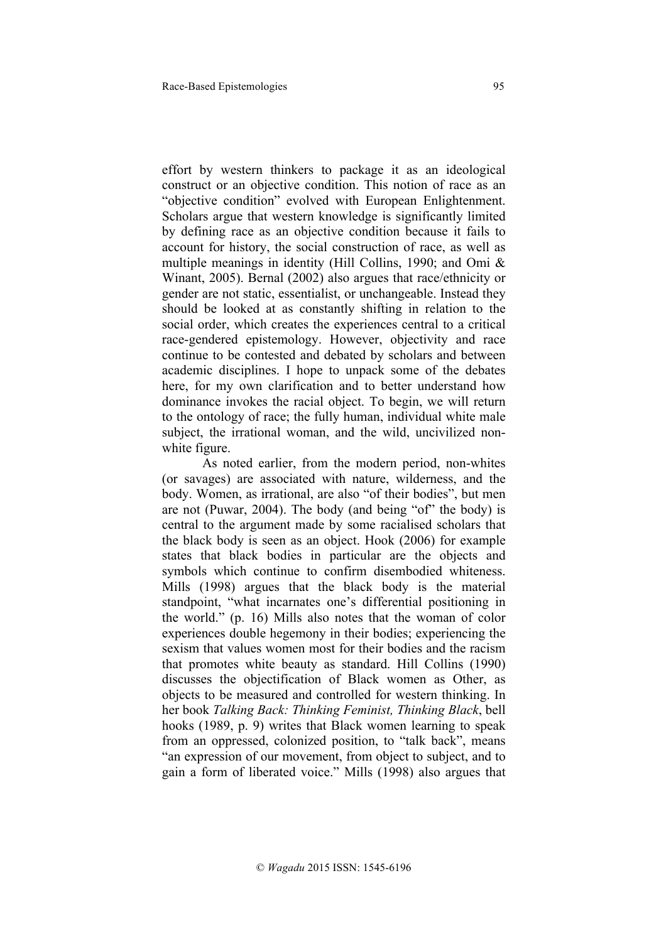effort by western thinkers to package it as an ideological construct or an objective condition. This notion of race as an "objective condition" evolved with European Enlightenment. Scholars argue that western knowledge is significantly limited by defining race as an objective condition because it fails to account for history, the social construction of race, as well as multiple meanings in identity (Hill Collins, 1990; and Omi & Winant, 2005). Bernal (2002) also argues that race/ethnicity or gender are not static, essentialist, or unchangeable. Instead they should be looked at as constantly shifting in relation to the social order, which creates the experiences central to a critical race-gendered epistemology. However, objectivity and race continue to be contested and debated by scholars and between academic disciplines. I hope to unpack some of the debates here, for my own clarification and to better understand how dominance invokes the racial object. To begin, we will return to the ontology of race; the fully human, individual white male subject, the irrational woman, and the wild, uncivilized nonwhite figure.

As noted earlier, from the modern period, non-whites (or savages) are associated with nature, wilderness, and the body. Women, as irrational, are also "of their bodies", but men are not (Puwar, 2004). The body (and being "of" the body) is central to the argument made by some racialised scholars that the black body is seen as an object. Hook (2006) for example states that black bodies in particular are the objects and symbols which continue to confirm disembodied whiteness. Mills (1998) argues that the black body is the material standpoint, "what incarnates one's differential positioning in the world." (p. 16) Mills also notes that the woman of color experiences double hegemony in their bodies; experiencing the sexism that values women most for their bodies and the racism that promotes white beauty as standard. Hill Collins (1990) discusses the objectification of Black women as Other, as objects to be measured and controlled for western thinking. In her book *Talking Back: Thinking Feminist, Thinking Black*, bell hooks (1989, p. 9) writes that Black women learning to speak from an oppressed, colonized position, to "talk back", means "an expression of our movement, from object to subject, and to gain a form of liberated voice." Mills (1998) also argues that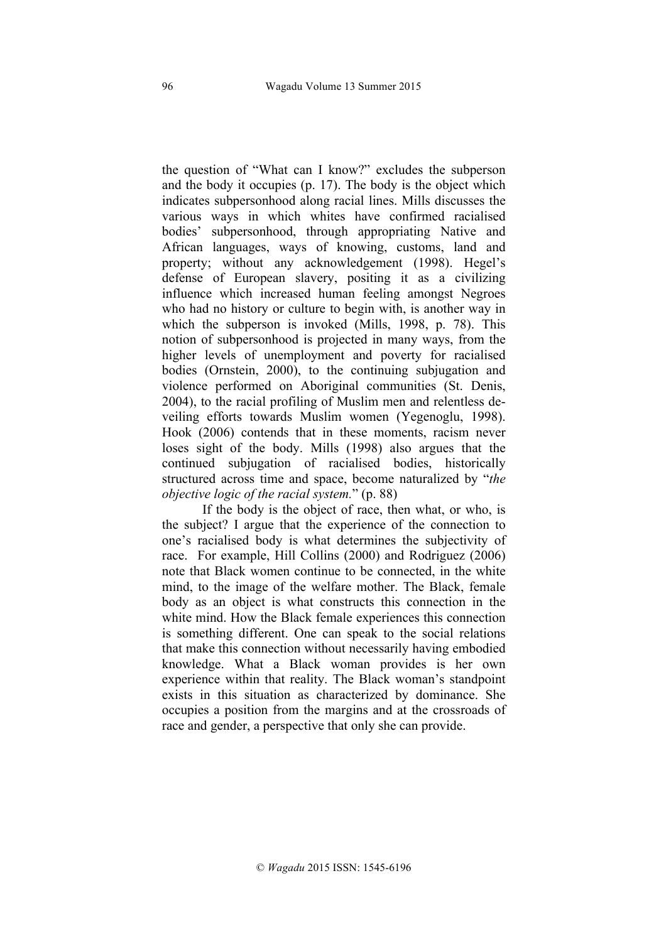the question of "What can I know?" excludes the subperson and the body it occupies (p. 17). The body is the object which indicates subpersonhood along racial lines. Mills discusses the various ways in which whites have confirmed racialised bodies' subpersonhood, through appropriating Native and African languages, ways of knowing, customs, land and property; without any acknowledgement (1998). Hegel's defense of European slavery, positing it as a civilizing influence which increased human feeling amongst Negroes who had no history or culture to begin with, is another way in which the subperson is invoked (Mills, 1998, p. 78). This notion of subpersonhood is projected in many ways, from the higher levels of unemployment and poverty for racialised bodies (Ornstein, 2000), to the continuing subjugation and violence performed on Aboriginal communities (St. Denis, 2004), to the racial profiling of Muslim men and relentless deveiling efforts towards Muslim women (Yegenoglu, 1998). Hook (2006) contends that in these moments, racism never loses sight of the body. Mills (1998) also argues that the continued subjugation of racialised bodies, historically structured across time and space, become naturalized by "*the objective logic of the racial system.*" (p. 88)

If the body is the object of race, then what, or who, is the subject? I argue that the experience of the connection to one's racialised body is what determines the subjectivity of race. For example, Hill Collins (2000) and Rodriguez (2006) note that Black women continue to be connected, in the white mind, to the image of the welfare mother. The Black, female body as an object is what constructs this connection in the white mind. How the Black female experiences this connection is something different. One can speak to the social relations that make this connection without necessarily having embodied knowledge. What a Black woman provides is her own experience within that reality. The Black woman's standpoint exists in this situation as characterized by dominance. She occupies a position from the margins and at the crossroads of race and gender, a perspective that only she can provide.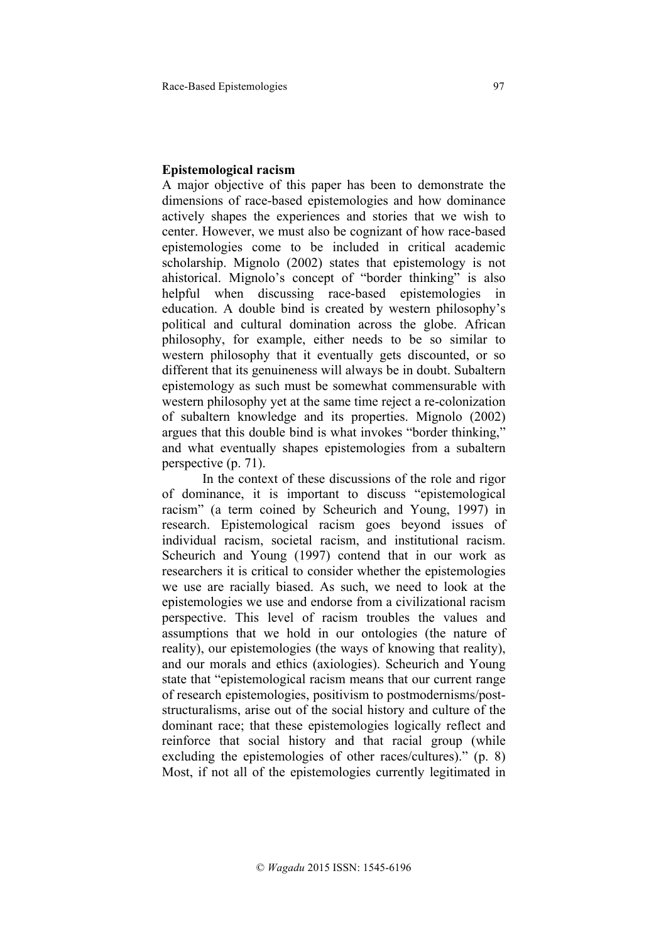# **Epistemological racism**

A major objective of this paper has been to demonstrate the dimensions of race-based epistemologies and how dominance actively shapes the experiences and stories that we wish to center. However, we must also be cognizant of how race-based epistemologies come to be included in critical academic scholarship. Mignolo (2002) states that epistemology is not ahistorical. Mignolo's concept of "border thinking" is also helpful when discussing race-based epistemologies in education. A double bind is created by western philosophy's political and cultural domination across the globe. African philosophy, for example, either needs to be so similar to western philosophy that it eventually gets discounted, or so different that its genuineness will always be in doubt. Subaltern epistemology as such must be somewhat commensurable with western philosophy yet at the same time reject a re-colonization of subaltern knowledge and its properties. Mignolo (2002) argues that this double bind is what invokes "border thinking," and what eventually shapes epistemologies from a subaltern perspective (p. 71).

In the context of these discussions of the role and rigor of dominance, it is important to discuss "epistemological racism" (a term coined by Scheurich and Young, 1997) in research. Epistemological racism goes beyond issues of individual racism, societal racism, and institutional racism. Scheurich and Young (1997) contend that in our work as researchers it is critical to consider whether the epistemologies we use are racially biased. As such, we need to look at the epistemologies we use and endorse from a civilizational racism perspective. This level of racism troubles the values and assumptions that we hold in our ontologies (the nature of reality), our epistemologies (the ways of knowing that reality), and our morals and ethics (axiologies). Scheurich and Young state that "epistemological racism means that our current range of research epistemologies, positivism to postmodernisms/poststructuralisms, arise out of the social history and culture of the dominant race; that these epistemologies logically reflect and reinforce that social history and that racial group (while excluding the epistemologies of other races/cultures)." (p. 8) Most, if not all of the epistemologies currently legitimated in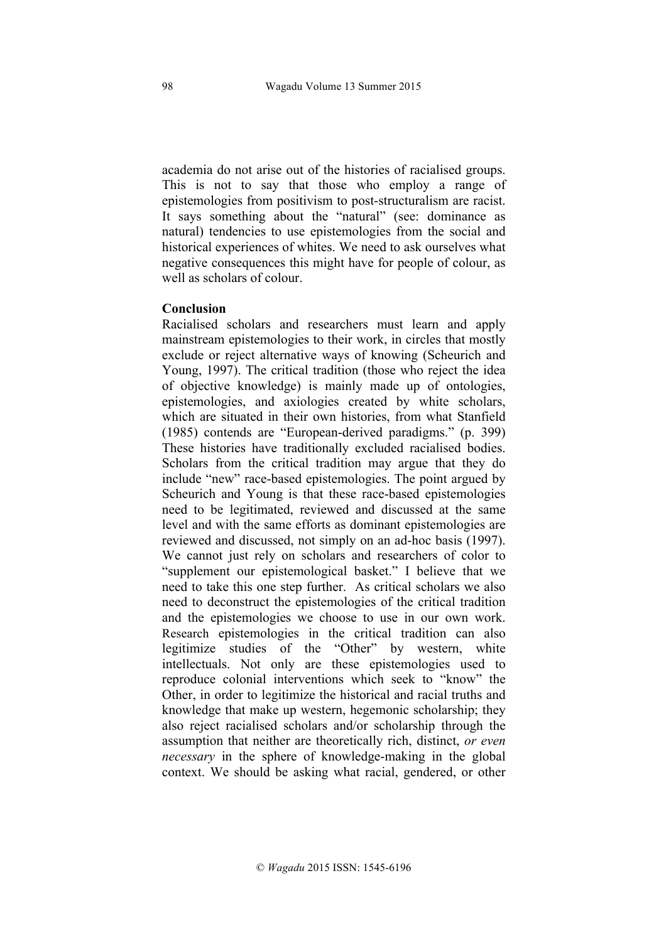academia do not arise out of the histories of racialised groups. This is not to say that those who employ a range of epistemologies from positivism to post-structuralism are racist. It says something about the "natural" (see: dominance as natural) tendencies to use epistemologies from the social and historical experiences of whites. We need to ask ourselves what negative consequences this might have for people of colour, as well as scholars of colour.

#### **Conclusion**

Racialised scholars and researchers must learn and apply mainstream epistemologies to their work, in circles that mostly exclude or reject alternative ways of knowing (Scheurich and Young, 1997). The critical tradition (those who reject the idea of objective knowledge) is mainly made up of ontologies, epistemologies, and axiologies created by white scholars, which are situated in their own histories, from what Stanfield (1985) contends are "European-derived paradigms." (p. 399) These histories have traditionally excluded racialised bodies. Scholars from the critical tradition may argue that they do include "new" race-based epistemologies. The point argued by Scheurich and Young is that these race-based epistemologies need to be legitimated, reviewed and discussed at the same level and with the same efforts as dominant epistemologies are reviewed and discussed, not simply on an ad-hoc basis (1997). We cannot just rely on scholars and researchers of color to "supplement our epistemological basket." I believe that we need to take this one step further. As critical scholars we also need to deconstruct the epistemologies of the critical tradition and the epistemologies we choose to use in our own work. Research epistemologies in the critical tradition can also legitimize studies of the "Other" by western, white intellectuals. Not only are these epistemologies used to reproduce colonial interventions which seek to "know" the Other, in order to legitimize the historical and racial truths and knowledge that make up western, hegemonic scholarship; they also reject racialised scholars and/or scholarship through the assumption that neither are theoretically rich, distinct, *or even necessary* in the sphere of knowledge-making in the global context. We should be asking what racial, gendered, or other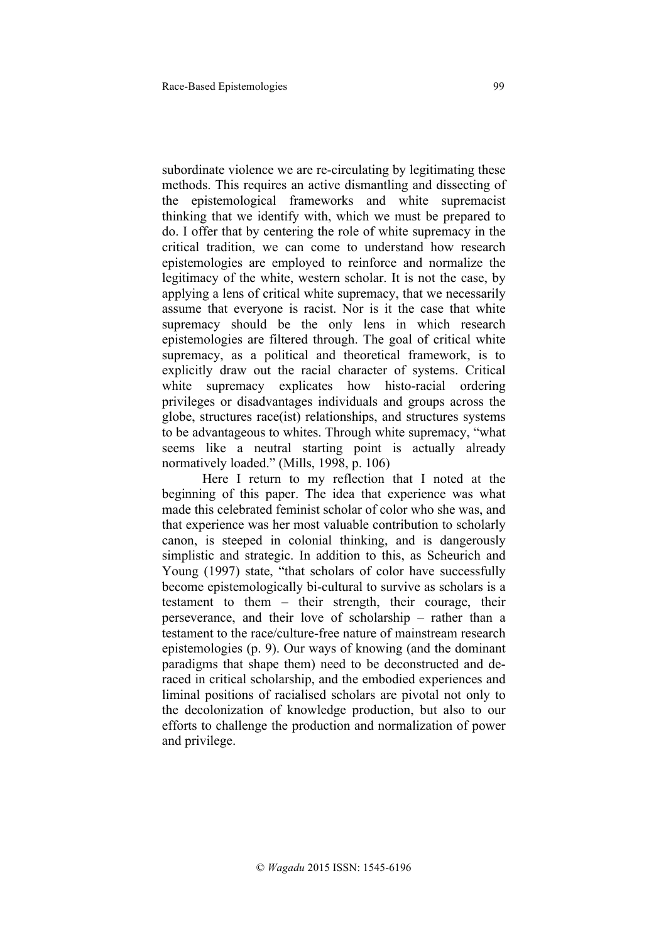subordinate violence we are re-circulating by legitimating these methods. This requires an active dismantling and dissecting of the epistemological frameworks and white supremacist thinking that we identify with, which we must be prepared to do. I offer that by centering the role of white supremacy in the critical tradition, we can come to understand how research epistemologies are employed to reinforce and normalize the legitimacy of the white, western scholar. It is not the case, by applying a lens of critical white supremacy, that we necessarily assume that everyone is racist. Nor is it the case that white supremacy should be the only lens in which research epistemologies are filtered through. The goal of critical white supremacy, as a political and theoretical framework, is to explicitly draw out the racial character of systems. Critical white supremacy explicates how histo-racial ordering privileges or disadvantages individuals and groups across the globe, structures race(ist) relationships, and structures systems to be advantageous to whites. Through white supremacy, "what seems like a neutral starting point is actually already normatively loaded." (Mills, 1998, p. 106)

Here I return to my reflection that I noted at the beginning of this paper. The idea that experience was what made this celebrated feminist scholar of color who she was, and that experience was her most valuable contribution to scholarly canon, is steeped in colonial thinking, and is dangerously simplistic and strategic. In addition to this, as Scheurich and Young (1997) state, "that scholars of color have successfully become epistemologically bi-cultural to survive as scholars is a testament to them – their strength, their courage, their perseverance, and their love of scholarship – rather than a testament to the race/culture-free nature of mainstream research epistemologies (p. 9). Our ways of knowing (and the dominant paradigms that shape them) need to be deconstructed and deraced in critical scholarship, and the embodied experiences and liminal positions of racialised scholars are pivotal not only to the decolonization of knowledge production, but also to our efforts to challenge the production and normalization of power and privilege.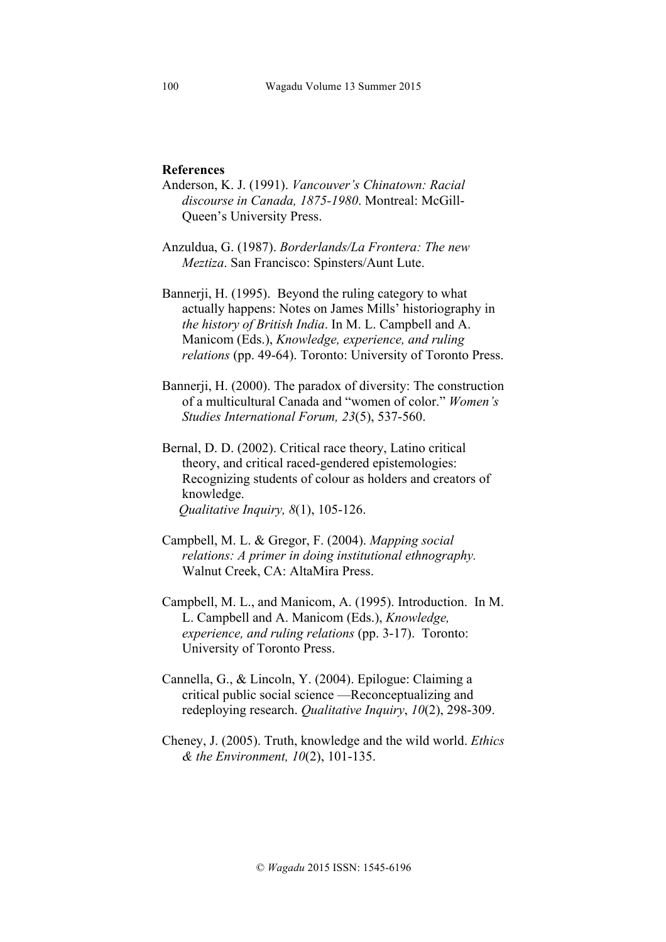#### **References**

- Anderson, K. J. (1991). *Vancouver's Chinatown: Racial discourse in Canada, 1875-1980*. Montreal: McGill-Queen's University Press.
- Anzuldua, G. (1987). *Borderlands/La Frontera: The new Meztiza*. San Francisco: Spinsters/Aunt Lute.
- Bannerji, H. (1995). Beyond the ruling category to what actually happens: Notes on James Mills' historiography in *the history of British India*. In M. L. Campbell and A. Manicom (Eds.), *Knowledge, experience, and ruling relations* (pp. 49-64). Toronto: University of Toronto Press.
- Bannerii, H. (2000). The paradox of diversity: The construction of a multicultural Canada and "women of color." *Women's Studies International Forum, 23*(5), 537-560.
- Bernal, D. D. (2002). Critical race theory, Latino critical theory, and critical raced-gendered epistemologies: Recognizing students of colour as holders and creators of knowledge. *Qualitative Inquiry, 8*(1), 105-126.
- Campbell, M. L. & Gregor, F. (2004). *Mapping social relations: A primer in doing institutional ethnography.*  Walnut Creek, CA: AltaMira Press.
- Campbell, M. L., and Manicom, A. (1995). Introduction. In M. L. Campbell and A. Manicom (Eds.), *Knowledge, experience, and ruling relations* (pp. 3-17). Toronto: University of Toronto Press.
- Cannella, G., & Lincoln, Y. (2004). Epilogue: Claiming a critical public social science —Reconceptualizing and redeploying research. *Qualitative Inquiry*, *10*(2), 298-309.
- Cheney, J. (2005). Truth, knowledge and the wild world. *Ethics & the Environment, 10*(2), 101-135.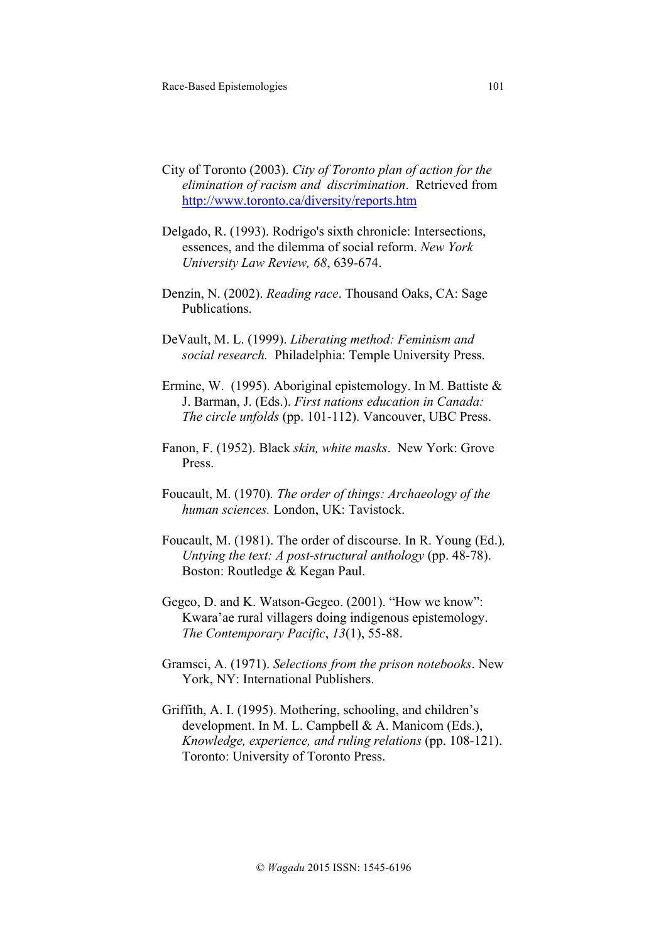- City of Toronto (2003). *City of Toronto plan of action for the elimination of racism and discrimination*. Retrieved from http://www.toronto.ca/diversity/reports.htm
- Delgado, R. (1993). Rodrigo's sixth chronicle: Intersections, essences, and the dilemma of social reform. *New York University Law Review, 68*, 639-674.
- Denzin, N. (2002). *Reading race*. Thousand Oaks, CA: Sage Publications.
- DeVault, M. L. (1999). *Liberating method: Feminism and social research.* Philadelphia: Temple University Press.
- Ermine, W. (1995). Aboriginal epistemology. In M. Battiste & J. Barman, J. (Eds.). *First nations education in Canada: The circle unfolds* (pp. 101-112). Vancouver, UBC Press.
- Fanon, F. (1952). Black *skin, white masks*. New York: Grove Press.
- Foucault, M. (1970)*. The order of things: Archaeology of the human sciences.* London, UK: Tavistock.
- Foucault, M. (1981). The order of discourse. In R. Young (Ed.)*, Untying the text: A post-structural anthology* (pp. 48-78). Boston: Routledge & Kegan Paul.
- Gegeo, D. and K. Watson-Gegeo. (2001). "How we know": Kwara'ae rural villagers doing indigenous epistemology. *The Contemporary Pacific*, *13*(1), 55-88.
- Gramsci, A. (1971). *Selections from the prison notebooks*. New York, NY: International Publishers.
- Griffith, A. I. (1995). Mothering, schooling, and children's development. In M. L. Campbell & A. Manicom (Eds.), *Knowledge, experience, and ruling relations* (pp. 108-121). Toronto: University of Toronto Press.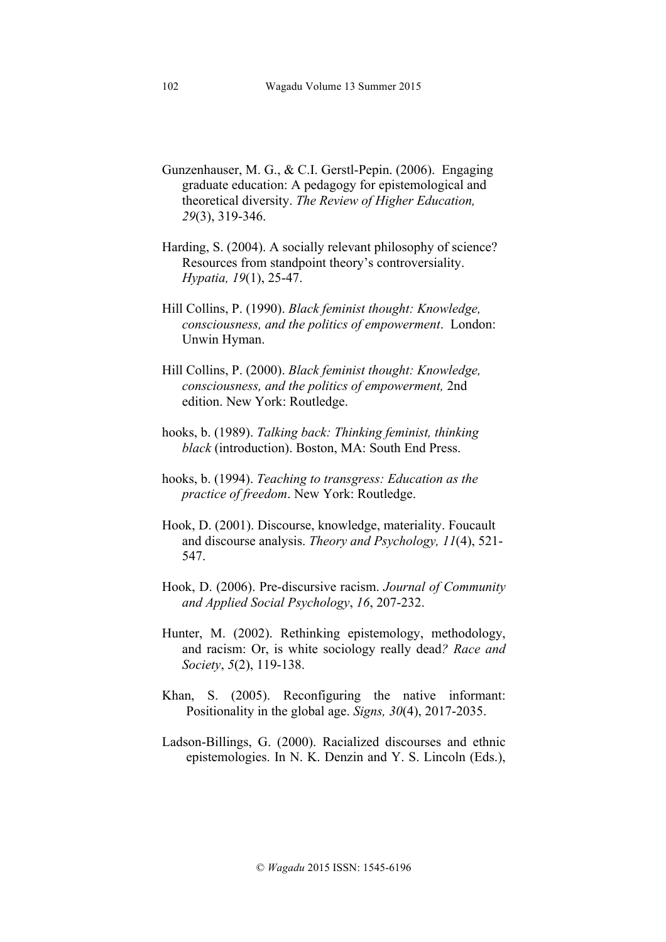- Gunzenhauser, M. G., & C.I. Gerstl-Pepin. (2006). Engaging graduate education: A pedagogy for epistemological and theoretical diversity. *The Review of Higher Education, 29*(3), 319-346.
- Harding, S. (2004). A socially relevant philosophy of science? Resources from standpoint theory's controversiality. *Hypatia, 19*(1), 25-47.
- Hill Collins, P. (1990). *Black feminist thought: Knowledge, consciousness, and the politics of empowerment*. London: Unwin Hyman.
- Hill Collins, P. (2000). *Black feminist thought: Knowledge, consciousness, and the politics of empowerment,* 2nd edition. New York: Routledge.
- hooks, b. (1989). *Talking back: Thinking feminist, thinking black* (introduction). Boston, MA: South End Press.
- hooks, b. (1994). *Teaching to transgress: Education as the practice of freedom*. New York: Routledge.
- Hook, D. (2001). Discourse, knowledge, materiality. Foucault and discourse analysis. *Theory and Psychology, 11*(4), 521- 547.
- Hook, D. (2006). Pre-discursive racism. *Journal of Community and Applied Social Psychology*, *16*, 207-232.
- Hunter, M. (2002). Rethinking epistemology, methodology, and racism: Or, is white sociology really dead*? Race and Society*, *5*(2), 119-138.
- Khan, S. (2005). Reconfiguring the native informant: Positionality in the global age. *Signs, 30*(4), 2017-2035.
- Ladson-Billings, G. (2000). Racialized discourses and ethnic epistemologies. In N. K. Denzin and Y. S. Lincoln (Eds.),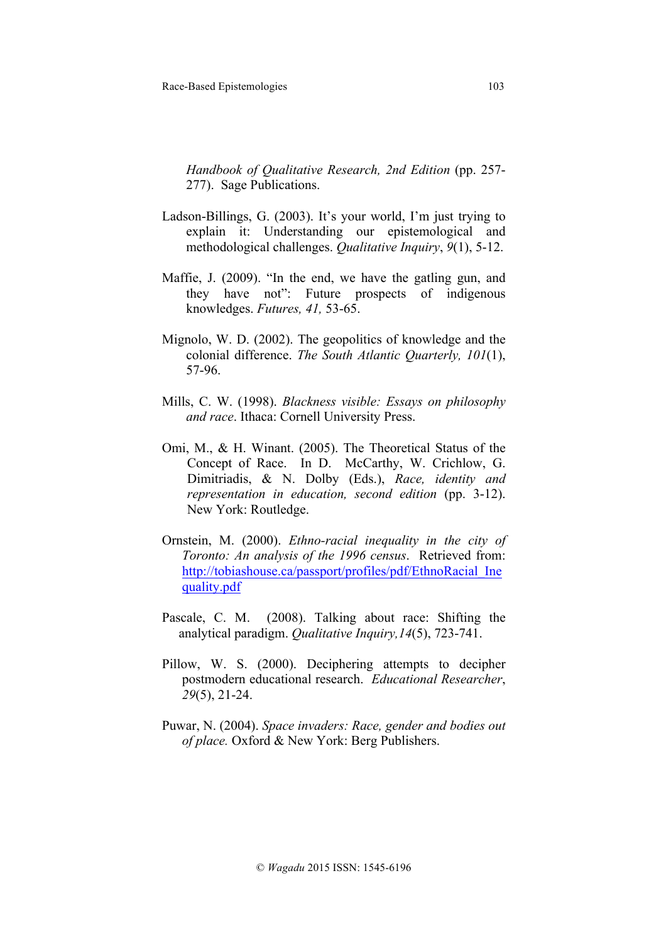*Handbook of Qualitative Research, 2nd Edition* (pp. 257- 277). Sage Publications.

- Ladson-Billings, G. (2003). It's your world, I'm just trying to explain it: Understanding our epistemological and methodological challenges. *Qualitative Inquiry*, *9*(1), 5-12.
- Maffie, J. (2009). "In the end, we have the gatling gun, and they have not": Future prospects of indigenous knowledges. *Futures, 41,* 53-65.
- Mignolo, W. D. (2002). The geopolitics of knowledge and the colonial difference. *The South Atlantic Quarterly, 101*(1), 57-96.
- Mills, C. W. (1998). *Blackness visible: Essays on philosophy and race*. Ithaca: Cornell University Press.
- Omi, M., & H. Winant. (2005). The Theoretical Status of the Concept of Race. In D. McCarthy, W. Crichlow, G. Dimitriadis, & N. Dolby (Eds.), *Race, identity and representation in education, second edition* (pp. 3-12). New York: Routledge.
- Ornstein, M. (2000). *Ethno-racial inequality in the city of Toronto: An analysis of the 1996 census*. Retrieved from: http://tobiashouse.ca/passport/profiles/pdf/EthnoRacial\_Ine quality.pdf
- Pascale, C. M. (2008). Talking about race: Shifting the analytical paradigm. *Qualitative Inquiry,14*(5), 723-741.
- Pillow, W. S. (2000). Deciphering attempts to decipher postmodern educational research. *Educational Researcher*, *29*(5), 21-24.
- Puwar, N. (2004). *Space invaders: Race, gender and bodies out of place.* Oxford & New York: Berg Publishers.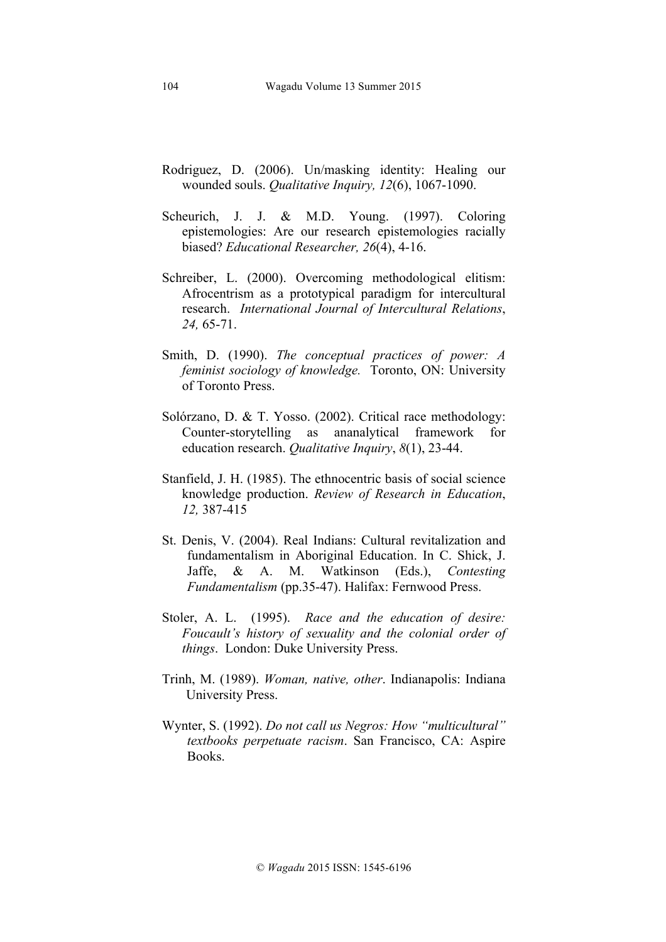- Rodriguez, D. (2006). Un/masking identity: Healing our wounded souls. *Qualitative Inquiry, 12*(6), 1067-1090.
- Scheurich, J. J. & M.D. Young. (1997). Coloring epistemologies: Are our research epistemologies racially biased? *Educational Researcher, 26*(4), 4-16.
- Schreiber, L. (2000). Overcoming methodological elitism: Afrocentrism as a prototypical paradigm for intercultural research. *International Journal of Intercultural Relations*, *24,* 65-71.
- Smith, D. (1990). *The conceptual practices of power: A feminist sociology of knowledge.* Toronto, ON: University of Toronto Press.
- Solórzano, D. & T. Yosso. (2002). Critical race methodology: Counter-storytelling as ananalytical framework for education research. *Qualitative Inquiry*, *8*(1), 23-44.
- Stanfield, J. H. (1985). The ethnocentric basis of social science knowledge production. *Review of Research in Education*, *12,* 387-415
- St. Denis, V. (2004). Real Indians: Cultural revitalization and fundamentalism in Aboriginal Education. In C. Shick, J. Jaffe, & A. M. Watkinson (Eds.), *Contesting Fundamentalism* (pp.35-47). Halifax: Fernwood Press.
- Stoler, A. L. (1995). *Race and the education of desire: Foucault's history of sexuality and the colonial order of things*. London: Duke University Press.
- Trinh, M. (1989). *Woman, native, other*. Indianapolis: Indiana University Press.
- Wynter, S. (1992). *Do not call us Negros: How "multicultural" textbooks perpetuate racism*. San Francisco, CA: Aspire Books.